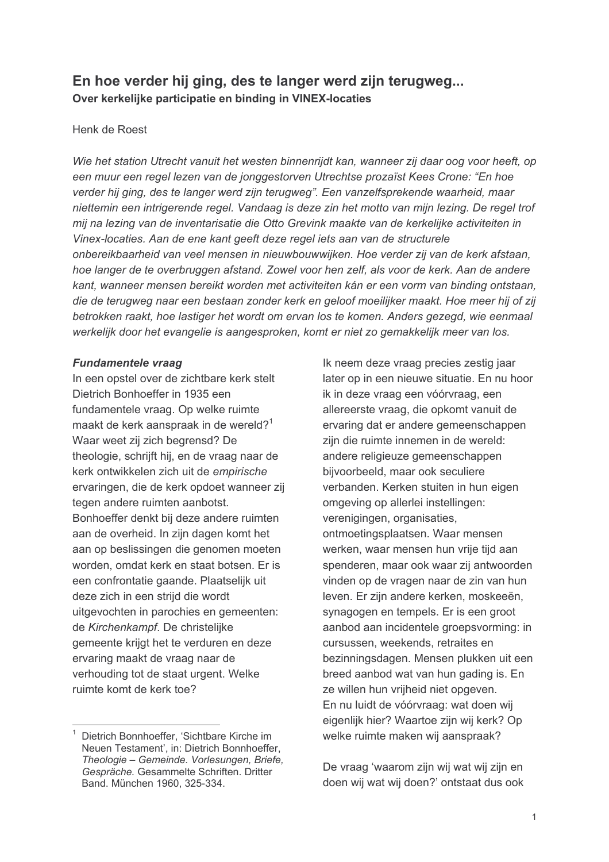# En hoe verder hij ging, des te langer werd zijn terugweg... Over kerkelijke participatie en binding in VINEX-locaties

### Henk de Roest

Wie het station Utrecht vanuit het westen binnenrijdt kan, wanneer zij daar oog voor heeft, op een muur een regel lezen van de jonggestorven Utrechtse prozaïst Kees Crone: "En hoe verder hij ging, des te langer werd zijn terugweg". Een vanzelfsprekende waarheid, maar niettemin een intrigerende regel. Vandaag is deze zin het motto van mijn lezing. De regel trof mij na lezing van de inventarisatie die Otto Grevink maakte van de kerkelijke activiteiten in Vinex-locaties. Aan de ene kant geeft deze regel iets aan van de structurele onbereikbaarheid van veel mensen in nieuwbouwwijken. Hoe verder zij van de kerk afstaan, hoe langer de te overbruggen afstand. Zowel voor hen zelf, als voor de kerk. Aan de andere kant, wanneer mensen bereikt worden met activiteiten kán er een vorm van binding ontstaan, die de terugweg naar een bestaan zonder kerk en geloof moeilijker maakt. Hoe meer hij of zij betrokken raakt, hoe lastiger het wordt om ervan los te komen. Anders gezegd, wie eenmaal werkelijk door het evangelie is aangesproken, komt er niet zo gemakkelijk meer van los.

### **Fundamentele vraag**

In een opstel over de zichtbare kerk stelt Dietrich Bonhoeffer in 1935 een fundamentele vraag. Op welke ruimte maakt de kerk aanspraak in de wereld?<sup>1</sup> Waar weet zij zich begrensd? De theologie, schrijft hij, en de vraag naar de kerk ontwikkelen zich uit de empirische ervaringen, die de kerk opdoet wanneer zij tegen andere ruimten aanbotst. Bonhoeffer denkt bij deze andere ruimten aan de overheid. In zijn dagen komt het aan op beslissingen die genomen moeten worden, omdat kerk en staat botsen. Er is een confrontatie gaande. Plaatselijk uit deze zich in een strijd die wordt uitgevochten in parochies en gemeenten: de Kirchenkampf. De christelijke gemeente krijgt het te verduren en deze ervaring maakt de vraag naar de verhouding tot de staat urgent. Welke ruimte komt de kerk toe?

Ik neem deze vraag precies zestig jaar later op in een nieuwe situatie. En nu hoor ik in deze vraag een vóórvraag, een allereerste vraag, die opkomt vanuit de ervaring dat er andere gemeenschappen zijn die ruimte innemen in de wereld: andere religieuze gemeenschappen bijvoorbeeld, maar ook seculiere verbanden. Kerken stuiten in hun eigen omgeving op allerlei instellingen: verenigingen, organisaties, ontmoetingsplaatsen. Waar mensen werken, waar mensen hun vrije tijd aan spenderen, maar ook waar zij antwoorden vinden op de vragen naar de zin van hun leven. Er zijn andere kerken, moskeeën, synagogen en tempels. Er is een groot aanbod aan incidentele groepsvorming: in cursussen, weekends, retraites en bezinningsdagen. Mensen plukken uit een breed aanbod wat van hun gading is. En ze willen hun vrijheid niet opgeven. En nu luidt de vóórvraag: wat doen wij eigenlijk hier? Waartoe zijn wij kerk? Op welke ruimte maken wij aanspraak?

De vraag 'waarom zijn wij wat wij zijn en doen wij wat wij doen?' ontstaat dus ook

Dietrich Bonnhoeffer, 'Sichtbare Kirche im Neuen Testament', in: Dietrich Bonnhoeffer, Theologie - Gemeinde. Vorlesungen, Briefe, Gespräche. Gesammelte Schriften. Dritter Band, München 1960, 325-334.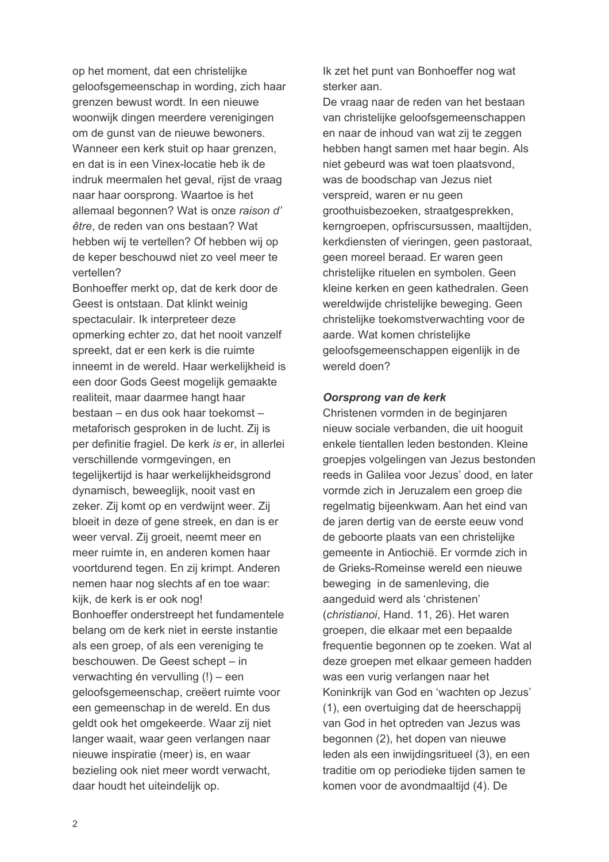op het moment, dat een christelijke geloofsgemeenschap in wording, zich haar grenzen bewust wordt. In een nieuwe woonwijk dingen meerdere verenigingen om de gunst van de nieuwe bewoners. Wanneer een kerk stuit op haar grenzen, en dat is in een Vinex-locatie heb ik de indruk meermalen het geval, rijst de vraag naar haar oorsprong. Waartoe is het allemaal begonnen? Wat is onze raison d' être, de reden van ons bestaan? Wat hebben wij te vertellen? Of hebben wij op de keper beschouwd niet zo veel meer te vertellen?

Bonhoeffer merkt op, dat de kerk door de Geest is ontstaan. Dat klinkt weinig spectaculair. Ik interpreteer deze opmerking echter zo, dat het nooit vanzelf spreekt, dat er een kerk is die ruimte inneemt in de wereld. Haar werkelijkheid is een door Gods Geest mogelijk gemaakte realiteit, maar daarmee hangt haar bestaan – en dus ook haar toekomst – metaforisch gesproken in de lucht. Zij is per definitie fragiel. De kerk is er, in allerlei verschillende vormgevingen, en tegelijkertijd is haar werkelijkheidsgrond dynamisch, beweeglijk, nooit vast en zeker. Zij komt op en verdwijnt weer. Zij bloeit in deze of gene streek, en dan is er weer verval. Zij groeit, neemt meer en meer ruimte in, en anderen komen haar voortdurend tegen. En zij krimpt. Anderen nemen haar nog slechts af en toe waar: kijk, de kerk is er ook nog! Bonhoeffer onderstreept het fundamentele belang om de kerk niet in eerste instantie als een groep, of als een vereniging te beschouwen. De Geest schept - in verwachting én vervulling (!) - een geloofsgemeenschap, creëert ruimte voor een gemeenschap in de wereld. En dus geldt ook het omgekeerde. Waar zij niet langer waait, waar geen verlangen naar nieuwe inspiratie (meer) is, en waar bezieling ook niet meer wordt verwacht. daar houdt het uiteindelijk op.

Ik zet het punt van Bonhoeffer nog wat sterker aan.

De vraag naar de reden van het bestaan van christelijke geloofsgemeenschappen en naar de inhoud van wat zij te zeggen hebben hangt samen met haar begin. Als niet gebeurd was wat toen plaatsvond, was de boodschap van Jezus niet verspreid, waren er nu geen groothuisbezoeken, straatgesprekken, kerngroepen, opfriscursussen, maaltijden, kerkdiensten of vieringen, geen pastoraat, geen moreel beraad. Er waren geen christelijke rituelen en symbolen. Geen kleine kerken en geen kathedralen. Geen wereldwijde christelijke beweging. Geen christelijke toekomstverwachting voor de aarde. Wat komen christelijke geloofsgemeenschappen eigenlijk in de wereld doen?

### Oorsprong van de kerk

Christenen vormden in de beginjaren nieuw sociale verbanden, die uit hooguit enkele tientallen leden bestonden. Kleine groepjes volgelingen van Jezus bestonden reeds in Galilea voor Jezus' dood, en later vormde zich in Jeruzalem een groep die regelmatig bijeenkwam. Aan het eind van de jaren dertig van de eerste eeuw vond de geboorte plaats van een christelijke gemeente in Antiochië. Er vormde zich in de Grieks-Romeinse wereld een nieuwe beweging in de samenleving, die aangeduid werd als 'christenen' (christianoi, Hand. 11, 26). Het waren groepen, die elkaar met een bepaalde frequentie begonnen op te zoeken. Wat al deze groepen met elkaar gemeen hadden was een vurig verlangen naar het Koninkrijk van God en 'wachten op Jezus' (1), een overtuiging dat de heerschappij van God in het optreden van Jezus was begonnen (2), het dopen van nieuwe leden als een inwijdingsritueel (3), en een traditie om op periodieke tijden samen te komen voor de avondmaaltijd (4). De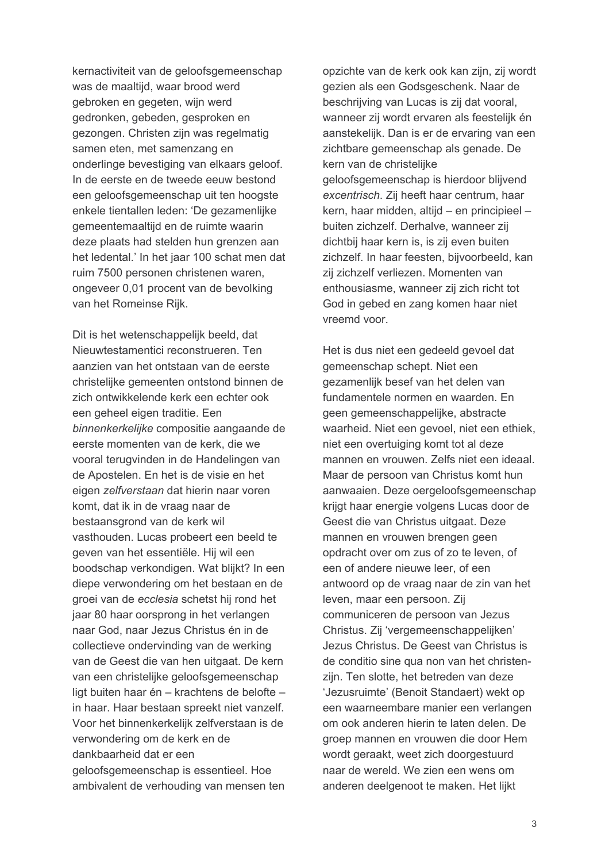kernactiviteit van de geloofsgemeenschap was de maaltijd, waar brood werd gebroken en gegeten, wijn werd gedronken, gebeden, gesproken en gezongen. Christen zijn was regelmatig samen eten, met samenzang en onderlinge bevestiging van elkaars geloof. In de eerste en de tweede eeuw bestond een geloofsgemeenschap uit ten hoogste enkele tientallen leden: 'De gezamenlijke gemeentemaaltijd en de ruimte waarin deze plaats had stelden hun grenzen aan het ledental.' In het jaar 100 schat men dat ruim 7500 personen christenen waren, ongeveer 0.01 procent van de bevolking van het Romeinse Rijk.

Dit is het wetenschappelijk beeld, dat Nieuwtestamentici reconstrueren. Ten aanzien van het ontstaan van de eerste christelijke gemeenten ontstond binnen de zich ontwikkelende kerk een echter ook een geheel eigen traditie. Een binnenkerkelijke compositie aangaande de eerste momenten van de kerk, die we vooral terugvinden in de Handelingen van de Apostelen. En het is de visie en het eigen zelfverstaan dat hierin naar voren komt, dat ik in de vraag naar de bestaansgrond van de kerk wil vasthouden. Lucas probeert een beeld te geven van het essentiële. Hij wil een boodschap verkondigen. Wat blijkt? In een diepe verwondering om het bestaan en de groei van de ecclesia schetst hij rond het jaar 80 haar oorsprong in het verlangen naar God, naar Jezus Christus én in de collectieve ondervinding van de werking van de Geest die van hen uitgaat. De kern van een christelijke geloofsgemeenschap ligt buiten haar én - krachtens de belofte in haar. Haar bestaan spreekt niet vanzelf. Voor het binnenkerkelijk zelfverstaan is de verwondering om de kerk en de dankbaarheid dat er een geloofsgemeenschap is essentieel. Hoe ambivalent de verhouding van mensen ten

opzichte van de kerk ook kan zijn, zij wordt gezien als een Godsgeschenk. Naar de beschrijving van Lucas is zij dat vooral, wanneer zij wordt ervaren als feestelijk én aanstekelijk. Dan is er de ervaring van een zichtbare gemeenschap als genade. De kern van de christelijke geloofsgemeenschap is hierdoor blijvend excentrisch. Zij heeft haar centrum, haar kern, haar midden, altijd – en principieel – buiten zichzelf. Derhalve, wanneer zij dichtbij haar kern is, is zij even buiten zichzelf. In haar feesten, bijvoorbeeld, kan zij zichzelf verliezen. Momenten van enthousiasme, wanneer zij zich richt tot God in gebed en zang komen haar niet vreemd voor.

Het is dus niet een gedeeld gevoel dat gemeenschap schept. Niet een gezamenlijk besef van het delen van fundamentele normen en waarden. En geen gemeenschappelijke, abstracte waarheid. Niet een gevoel, niet een ethiek. niet een overtuiging komt tot al deze mannen en vrouwen. Zelfs niet een ideaal. Maar de persoon van Christus komt hun aanwaaien. Deze oergeloofsgemeenschap krijgt haar energie volgens Lucas door de Geest die van Christus uitgaat. Deze mannen en vrouwen brengen geen opdracht over om zus of zo te leven, of een of andere nieuwe leer, of een antwoord op de vraag naar de zin van het leven, maar een persoon. Zij communiceren de persoon van Jezus Christus. Zij 'vergemeenschappelijken' Jezus Christus. De Geest van Christus is de conditio sine qua non van het christenzijn. Ten slotte, het betreden van deze 'Jezusruimte' (Benoit Standaert) wekt op een waarneembare manier een verlangen om ook anderen hierin te laten delen. De groep mannen en vrouwen die door Hem wordt geraakt, weet zich doorgestuurd naar de wereld. We zien een wens om anderen deelgenoot te maken. Het lijkt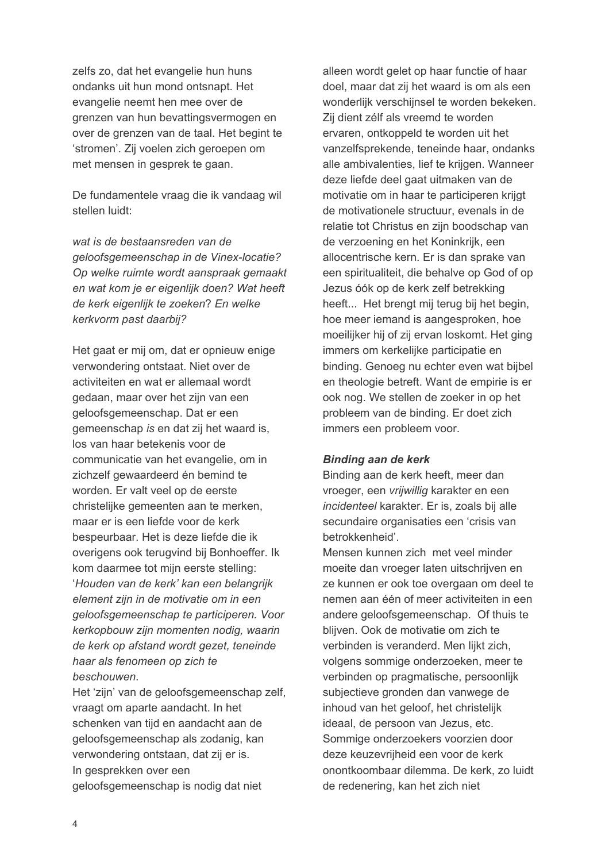zelfs zo, dat het evangelie hun huns ondanks uit hun mond ontsnapt. Het evangelie neemt hen mee over de grenzen van hun bevattingsvermogen en over de grenzen van de taal. Het begint te 'stromen'. Zij voelen zich geroepen om met mensen in gesprek te gaan.

De fundamentele vraag die ik vandaag wil stellen luidt:

wat is de bestaansreden van de geloofsgemeenschap in de Vinex-locatie? Op welke ruimte wordt aanspraak gemaakt en wat kom je er eigenlijk doen? Wat heeft de kerk eigenlijk te zoeken? En welke kerkvorm past daarbii?

Het gaat er mij om, dat er opnieuw enige verwondering ontstaat. Niet over de activiteiten en wat er allemaal wordt gedaan, maar over het zijn van een geloofsgemeenschap. Dat er een gemeenschap is en dat zij het waard is, los van haar betekenis voor de communicatie van het evangelie, om in zichzelf gewaardeerd én bemind te worden. Er valt veel op de eerste christelijke gemeenten aan te merken, maar er is een liefde voor de kerk bespeurbaar. Het is deze liefde die ik overigens ook terugvind bij Bonhoeffer. Ik kom daarmee tot miin eerste stelling: 'Houden van de kerk' kan een belangrijk element zijn in de motivatie om in een geloofsgemeenschap te participeren. Voor kerkopbouw zijn momenten nodig, waarin de kerk op afstand wordt gezet, teneinde haar als fenomeen op zich te beschouwen.

Het 'zijn' van de geloofsgemeenschap zelf. vraagt om aparte aandacht. In het schenken van tijd en aandacht aan de geloofsgemeenschap als zodanig, kan verwondering ontstaan, dat zij er is. In gesprekken over een geloofsgemeenschap is nodig dat niet

alleen wordt gelet op haar functie of haar doel, maar dat zij het waard is om als een wonderlijk verschijnsel te worden bekeken. Zij dient zélf als vreemd te worden ervaren, ontkoppeld te worden uit het vanzelfsprekende, teneinde haar, ondanks alle ambivalenties, lief te krijgen. Wanneer deze liefde deel gaat uitmaken van de motivatie om in haar te participeren krijgt de motivationele structuur, evenals in de relatie tot Christus en zijn boodschap van de verzoening en het Koninkrijk, een allocentrische kern. Er is dan sprake van een spiritualiteit, die behalve op God of op Jezus óók op de kerk zelf betrekking heeft... Het brengt mij terug bij het begin. hoe meer jemand is aangesproken, hoe moeilijker hij of zij ervan loskomt. Het ging immers om kerkelijke participatie en binding. Genoeg nu echter even wat bijbel en theologie betreft. Want de empirie is er ook nog. We stellen de zoeker in op het probleem van de binding. Er doet zich immers een probleem voor.

### **Binding aan de kerk**

Binding aan de kerk heeft, meer dan vroeger, een vrijwillig karakter en een incidenteel karakter. Er is, zoals bij alle secundaire organisaties een 'crisis van betrokkenheid'.

Mensen kunnen zich met veel minder moeite dan vroeger laten uitschrijven en ze kunnen er ook toe overgaan om deel te nemen aan één of meer activiteiten in een andere geloofsgemeenschap. Of thuis te blijven. Ook de motivatie om zich te verbinden is veranderd. Men lijkt zich, volgens sommige onderzoeken, meer te verbinden op pragmatische, persoonlijk subjectieve gronden dan vanwege de inhoud van het geloof, het christelijk ideaal, de persoon van Jezus, etc. Sommige onderzoekers voorzien door deze keuzevrijheid een voor de kerk onontkoombaar dilemma. De kerk, zo luidt de redenering, kan het zich niet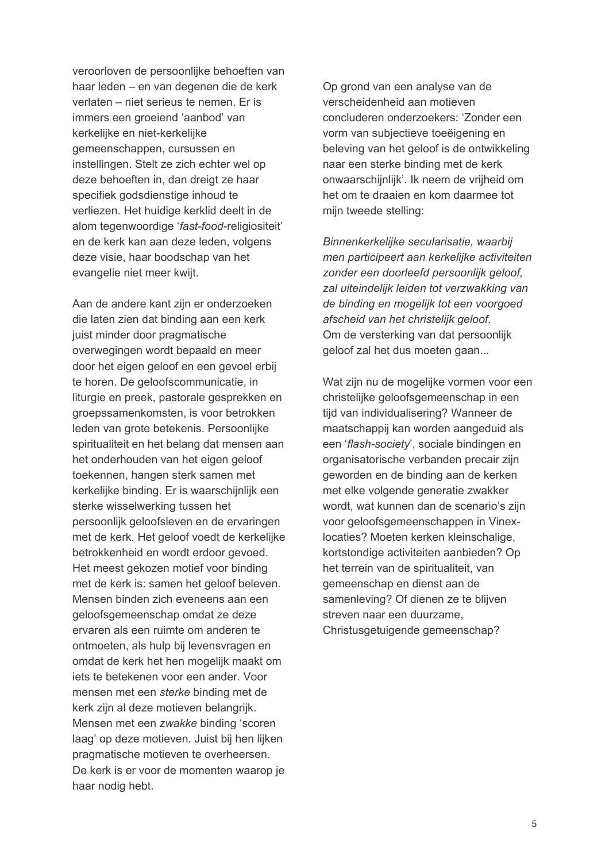veroorloven de persoonlijke behoeften van haar leden – en van degenen die de kerk verlaten - niet serieus te nemen. Er is immers een groeiend 'aanbod' van kerkelijke en niet-kerkelijke gemeenschappen, cursussen en instellingen. Stelt ze zich echter wel op deze behoeften in, dan dreigt ze haar specifiek godsdienstige inhoud te verliezen. Het huidige kerklid deelt in de alom tegenwoordige 'fast-food-religiositeit' en de kerk kan aan deze leden, volgens deze visie, haar boodschap van het evangelie niet meer kwijt.

Aan de andere kant zijn er onderzoeken die laten zien dat binding aan een kerk juist minder door pragmatische overwegingen wordt bepaald en meer door het eigen geloof en een gevoel erbij te horen. De geloofscommunicatie, in liturgie en preek, pastorale gesprekken en groepssamenkomsten, is voor betrokken leden van grote betekenis. Persoonlijke spiritualiteit en het belang dat mensen aan het onderhouden van het eigen geloof toekennen, hangen sterk samen met kerkelijke binding. Er is waarschijnlijk een sterke wisselwerking tussen het persoonlijk geloofsleven en de ervaringen met de kerk. Het geloof voedt de kerkelijke betrokkenheid en wordt erdoor gevoed. Het meest gekozen motief voor binding met de kerk is: samen het geloof beleven. Mensen binden zich eveneens aan een geloofsgemeenschap omdat ze deze ervaren als een ruimte om anderen te ontmoeten, als hulp bij levensvragen en omdat de kerk het hen mogelijk maakt om iets te betekenen voor een ander. Voor mensen met een *sterke* binding met de kerk zijn al deze motieven belangrijk. Mensen met een zwakke binding 'scoren laag' op deze motieven. Juist bij hen lijken pragmatische motieven te overheersen. De kerk is er voor de momenten waarop je haar nodig hebt.

Op grond van een analyse van de verscheidenheid aan motieven concluderen onderzoekers: 'Zonder een vorm van subiectieve toeëjgening en beleving van het geloof is de ontwikkeling naar een sterke binding met de kerk onwaarschijnlijk'. Ik neem de vrijheid om het om te draaien en kom daarmee tot mijn tweede stelling:

Binnenkerkeliike secularisatie, waarbii men participeert aan kerkelijke activiteiten zonder een doorleefd persoonlijk geloof, zal uiteindelijk leiden tot verzwakking van de binding en mogelijk tot een voorgoed afscheid van het christelijk geloof. Om de versterking van dat persoonlijk geloof zal het dus moeten gaan...

Wat zijn nu de mogelijke vormen voor een christelijke geloofsgemeenschap in een tijd van individualisering? Wanneer de maatschappij kan worden aangeduid als een 'flash-society', sociale bindingen en organisatorische verbanden precair zijn geworden en de binding aan de kerken met elke volgende generatie zwakker wordt, wat kunnen dan de scenario's zijn voor geloofsgemeenschappen in Vinexlocaties? Moeten kerken kleinschalige. kortstondige activiteiten aanbieden? Op het terrein van de spiritualiteit, van gemeenschap en dienst aan de samenleving? Of dienen ze te blijven streven naar een duurzame. Christusgetuigende gemeenschap?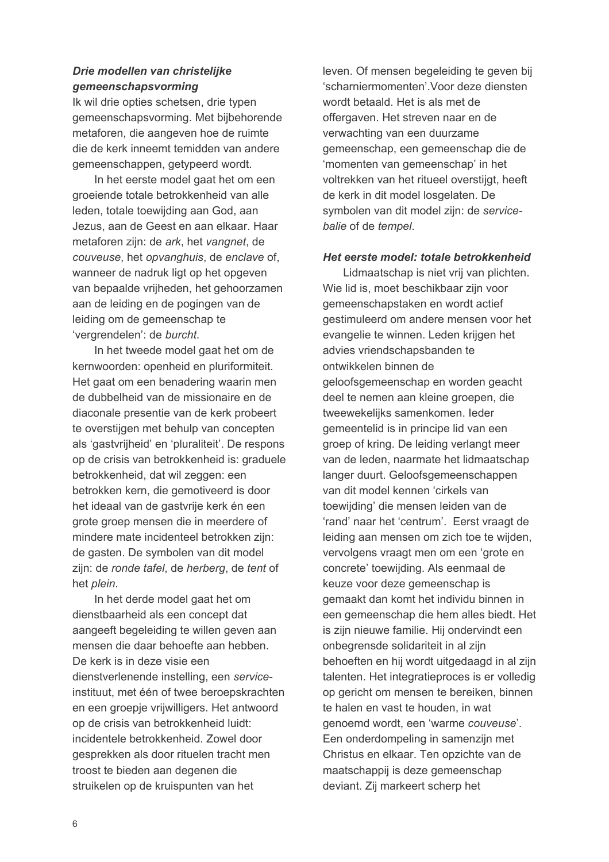### Drie modellen van christelijke qemeenschapsvorming

Ik wil drie opties schetsen, drie typen gemeenschapsvorming. Met bijbehorende metaforen, die aangeven hoe de ruimte die de kerk inneemt temidden van andere gemeenschappen, getypeerd wordt.

In het eerste model gaat het om een groeiende totale betrokkenheid van alle leden, totale toewijding aan God, aan Jezus, aan de Geest en aan elkaar. Haar metaforen zijn: de ark, het vangnet, de couveuse, het opvanghuis, de enclave of, wanneer de nadruk ligt op het opgeven van bepaalde vrijheden, het gehoorzamen aan de leiding en de pogingen van de leiding om de gemeenschap te 'vergrendelen': de burcht.

In het tweede model gaat het om de kernwoorden: openheid en pluriformiteit. Het gaat om een benadering waarin men de dubbelheid van de missionaire en de diaconale presentie van de kerk probeert te overstijgen met behulp van concepten als 'gastyriiheid' en 'pluraliteit'. De respons op de crisis van betrokkenheid is: graduele betrokkenheid, dat wil zeggen: een betrokken kern, die gemotiveerd is door het ideaal van de gastvrije kerk én een grote groep mensen die in meerdere of mindere mate incidenteel betrokken zijn: de gasten. De symbolen van dit model zijn; de ronde tafel, de herberg, de tent of het plein.

In het derde model gaat het om dienstbaarheid als een concept dat aangeeft begeleiding te willen geven aan mensen die daar behoefte aan hebben. De kerk is in deze visie een dienstverlenende instelling, een serviceinstituut, met één of twee beroepskrachten en een groepje vrijwilligers. Het antwoord op de crisis van betrokkenheid luidt: incidentele betrokkenheid. Zowel door gesprekken als door rituelen tracht men troost te bieden aan degenen die struikelen op de kruispunten van het

leven. Of mensen begeleiding te geven bij 'scharniermomenten' Voor deze diensten wordt betaald. Het is als met de offergaven. Het streven naar en de verwachting van een duurzame gemeenschap, een gemeenschap die de 'momenten van gemeenschap' in het voltrekken van het ritueel overstijgt, heeft de kerk in dit model losgelaten. De symbolen van dit model zijn: de servicebalie of de tempel.

### Het eerste model: totale betrokkenheid

Lidmaatschap is niet vrij van plichten. Wie lid is, moet beschikbaar zijn voor gemeenschapstaken en wordt actief gestimuleerd om andere mensen voor het evangelie te winnen. Leden krijgen het advies vriendschapsbanden te ontwikkelen binnen de geloofsgemeenschap en worden geacht deel te nemen aan kleine groepen, die tweewekelijks samenkomen. Ieder gemeentelid is in principe lid van een groep of kring. De leiding verlangt meer van de leden, naarmate het lidmaatschap langer duurt. Geloofsgemeenschappen van dit model kennen 'cirkels van toewijding' die mensen leiden van de 'rand' naar het 'centrum'. Eerst vraagt de leiding aan mensen om zich toe te wijden. vervolgens vraagt men om een 'grote en concrete' toewiiding. Als eenmaal de keuze voor deze gemeenschap is gemaakt dan komt het individu binnen in een gemeenschap die hem alles biedt. Het is zijn nieuwe familie. Hij ondervindt een onbegrensde solidariteit in al zijn behoeften en hij wordt uitgedaagd in al zijn talenten. Het integratieproces is er volledig op gericht om mensen te bereiken, binnen te halen en vast te houden, in wat genoemd wordt, een 'warme couveuse'. Een onderdompeling in samenzijn met Christus en elkaar. Ten opzichte van de maatschappij is deze gemeenschap deviant. Zij markeert scherp het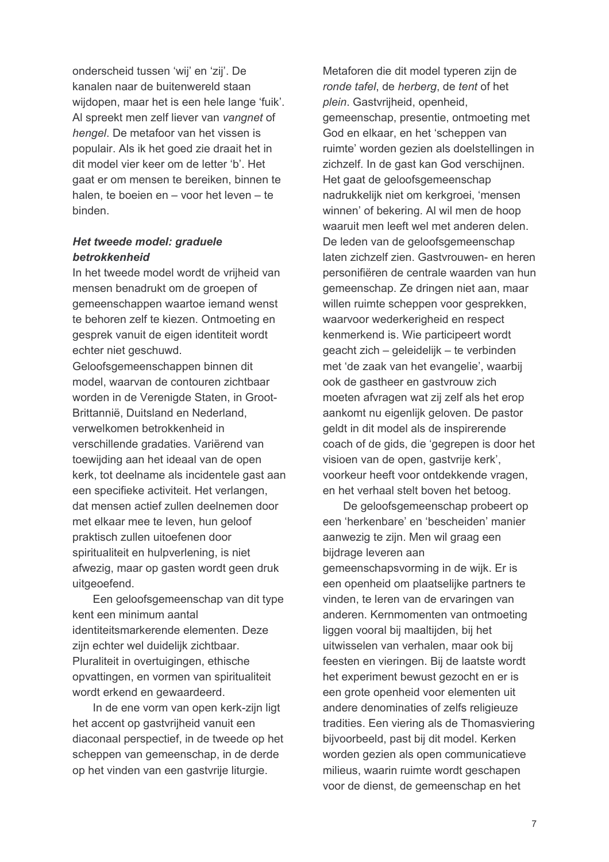onderscheid tussen 'wij' en 'zij'. De kanalen naar de buitenwereld staan wijdopen, maar het is een hele lange 'fuik'. Al spreekt men zelf liever van vangnet of hengel. De metafoor van het vissen is populair. Als ik het goed zie draait het in dit model vier keer om de letter 'b'. Het gaat er om mensen te bereiken, binnen te halen, te boeien en - voor het leven - te hinden

### Het tweede model: graduele betrokkenheid

In het tweede model wordt de vrijheid van mensen benadrukt om de groepen of gemeenschappen waartoe iemand wenst te behoren zelf te kiezen. Ontmoeting en gesprek vanuit de eigen identiteit wordt echter niet geschuwd.

Geloofsgemeenschappen binnen dit model, waarvan de contouren zichtbaar worden in de Verenigde Staten, in Groot-Brittannië. Duitsland en Nederland. verwelkomen betrokkenheid in verschillende gradaties. Variërend van toewijding aan het ideaal van de open kerk, tot deelname als incidentele gast aan een specifieke activiteit. Het verlangen, dat mensen actief zullen deelnemen door met elkaar mee te leven, hun geloof praktisch zullen uitoefenen door spiritualiteit en hulpverlening, is niet afwezig, maar op gasten wordt geen druk uitgeoefend.

Een geloofsgemeenschap van dit type kent een minimum aantal identiteitsmarkerende elementen. Deze zijn echter wel duidelijk zichtbaar. Pluraliteit in overtuigingen, ethische opvattingen, en vormen van spiritualiteit wordt erkend en gewaardeerd.

In de ene vorm van open kerk-zijn ligt het accent op gastyrijheid vanuit een diaconaal perspectief, in de tweede op het scheppen van gemeenschap, in de derde op het vinden van een gastyrije liturgie.

Metaforen die dit model typeren zijn de ronde tafel, de herberg, de tent of het plein. Gastvrijheid, openheid, gemeenschap, presentie, ontmoeting met God en elkaar, en het 'scheppen van ruimte' worden gezien als doelstellingen in zichzelf. In de gast kan God verschijnen. Het gaat de geloofsgemeenschap nadrukkelijk niet om kerkgroei, 'mensen winnen' of bekering. Al wil men de hoop waaruit men leeft wel met anderen delen. De leden van de geloofsgemeenschap laten zichzelf zien. Gastyrouwen- en heren personifiëren de centrale waarden van hun gemeenschap. Ze dringen niet aan, maar willen ruimte scheppen voor gesprekken, waarvoor wederkerigheid en respect kenmerkend is. Wie participeert wordt geacht zich – geleidelijk – te verbinden met 'de zaak van het evangelie', waarbij ook de gastheer en gastvrouw zich moeten afvragen wat zij zelf als het erop aankomt nu eigenlijk geloven. De pastor geldt in dit model als de inspirerende coach of de gids, die 'gegrepen is door het visioen van de open, gastvrije kerk', voorkeur heeft voor ontdekkende vragen, en het verhaal stelt boven het betoog.

De geloofsgemeenschap probeert op een 'herkenbare' en 'bescheiden' manier aanwezig te zijn. Men wil graag een bijdrage leveren aan gemeenschapsvorming in de wijk. Er is een openheid om plaatselijke partners te vinden, te leren van de ervaringen van anderen. Kernmomenten van ontmoeting liggen vooral bij maaltijden, bij het

uitwisselen van verhalen, maar ook bij feesten en vieringen. Bij de laatste wordt het experiment bewust gezocht en er is een grote openheid voor elementen uit andere denominaties of zelfs religieuze tradities. Een viering als de Thomasviering bijvoorbeeld, past bij dit model. Kerken worden gezien als open communicatieve milieus, waarin ruimte wordt geschapen voor de dienst, de gemeenschap en het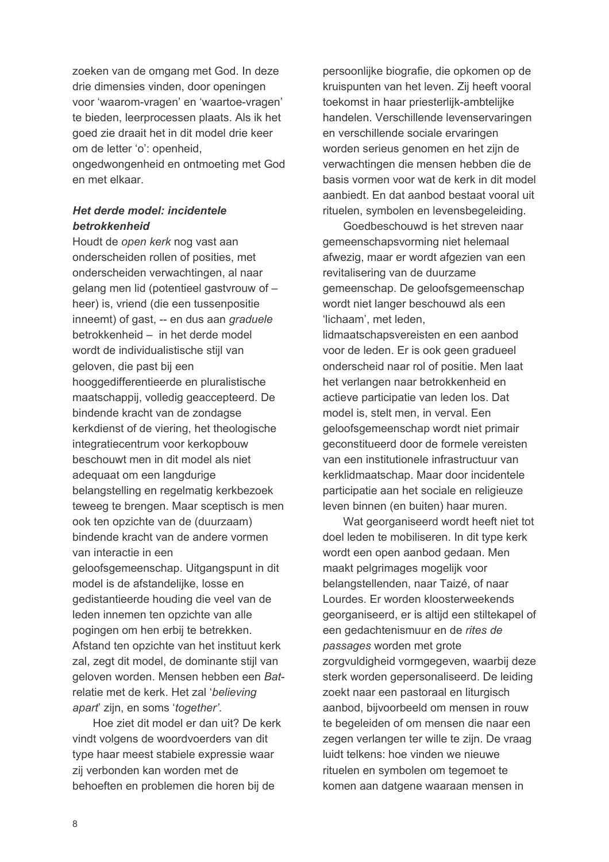zoeken van de omgang met God. In deze drie dimensies vinden, door openingen voor 'waarom-vragen' en 'waartoe-vragen' te bieden, leerprocessen plaats. Als ik het goed zie draait het in dit model drie keer om de letter 'o': openheid, ongedwongenheid en ontmoeting met God en met elkaar

### Het derde model: incidentele betrokkenheid

Houdt de open kerk nog vast aan onderscheiden rollen of posities, met onderscheiden verwachtingen, al naar gelang men lid (potentieel gastyrouw of heer) is, vriend (die een tussenpositie inneemt) of gast. -- en dus aan graduele betrokkenheid - in het derde model wordt de individualistische stijl van geloven, die past bij een hooggedifferentieerde en pluralistische maatschappij, volledig geaccepteerd. De bindende kracht van de zondagse kerkdienst of de viering, het theologische integratiecentrum voor kerkopbouw beschouwt men in dit model als niet adequaat om een langdurige belangstelling en regelmatig kerkbezoek teweeg te brengen. Maar sceptisch is men ook ten opzichte van de (duurzaam) bindende kracht van de andere vormen van interactie in een geloofsgemeenschap. Uitgangspunt in dit model is de afstandelijke, losse en gedistantieerde houding die veel van de leden innemen ten opzichte van alle pogingen om hen erbij te betrekken. Afstand ten opzichte van het instituut kerk zal, zegt dit model, de dominante stijl van geloven worden. Mensen hebben een Batrelatie met de kerk. Het zal 'believing apart zijn, en soms 'together'.

Hoe ziet dit model er dan uit? De kerk vindt volgens de woordvoerders van dit type haar meest stabiele expressie waar zij verbonden kan worden met de behoeften en problemen die horen bij de

persoonlijke biografie, die opkomen op de kruispunten van het leven. Zij heeft vooral toekomst in haar priesterlijk-ambtelijke handelen. Verschillende levenservaringen en verschillende sociale ervaringen worden serieus genomen en het zijn de verwachtingen die mensen hebben die de basis vormen voor wat de kerk in dit model aanbiedt. En dat aanbod bestaat vooral uit rituelen, symbolen en levensbegeleiding.

Goedbeschouwd is het streven naar gemeenschapsvorming niet helemaal afwezig, maar er wordt afgezien van een revitalisering van de duurzame gemeenschap. De geloofsgemeenschap wordt niet langer beschouwd als een 'lichaam', met leden. lidmaatschapsvereisten en een aanbod voor de leden. Er is ook geen gradueel

onderscheid naar rol of positie. Men laat het verlangen naar betrokkenheid en actieve participatie van leden los. Dat model is, stelt men, in verval. Een geloofsgemeenschap wordt niet primair geconstitueerd door de formele vereisten van een institutionele infrastructuur van kerklidmaatschap. Maar door incidentele participatie aan het sociale en religieuze leven binnen (en buiten) haar muren.

Wat georganiseerd wordt heeft niet tot doel leden te mobiliseren. In dit type kerk wordt een open aanbod gedaan. Men maakt pelgrimages mogelijk voor belangstellenden, naar Taizé, of naar Lourdes. Er worden kloosterweekends georganiseerd, er is altijd een stiltekapel of een gedachtenismuur en de rites de passages worden met grote zorgvuldigheid vormgegeven, waarbij deze sterk worden gepersonaliseerd. De leiding zoekt naar een pastoraal en liturgisch aanbod, bijvoorbeeld om mensen in rouw te begeleiden of om mensen die naar een zegen verlangen ter wille te zijn. De vraag luidt telkens: hoe vinden we nieuwe rituelen en symbolen om tegemoet te komen aan datgene waaraan mensen in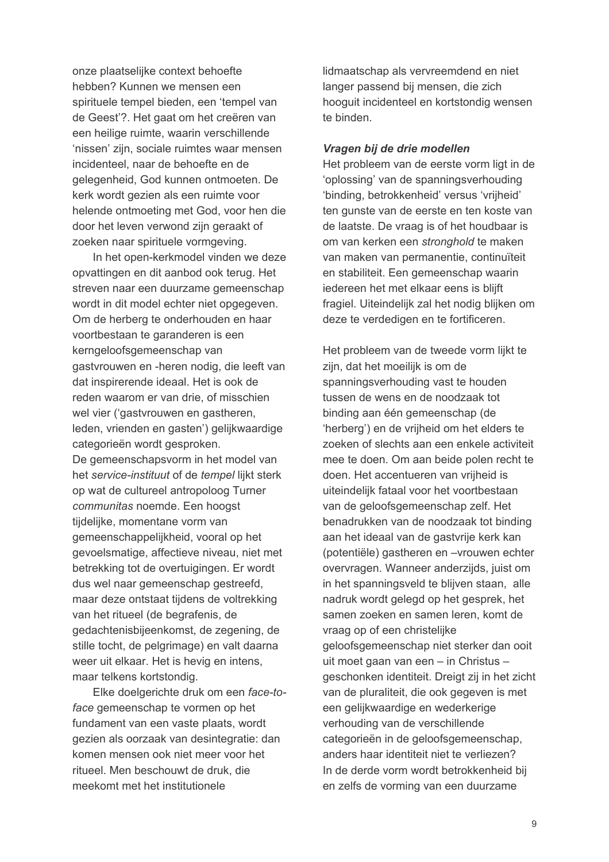onze plaatselijke context behoefte hebben? Kunnen we mensen een spirituele tempel bieden, een 'tempel van de Geest'?. Het gaat om het creëren van een heilige ruimte, waarin verschillende 'nissen' zijn, sociale ruimtes waar mensen incidenteel, naar de behoefte en de gelegenheid, God kunnen ontmoeten. De kerk wordt gezien als een ruimte voor helende ontmoeting met God, voor hen die door het leven verwond zijn geraakt of zoeken naar spirituele vormgeving.

In het open-kerkmodel vinden we deze opvattingen en dit aanbod ook terug. Het streven naar een duurzame gemeenschap wordt in dit model echter niet opgegeven. Om de herberg te onderhouden en haar voortbestaan te garanderen is een kerngeloofsgemeenschap van gastvrouwen en -heren nodig, die leeft van dat inspirerende ideaal. Het is ook de reden waarom er van drie, of misschien wel vier ('gastvrouwen en gastheren, leden, vrienden en gasten') gelijkwaardige categorieën wordt gesproken. De gemeenschapsvorm in het model van het service-instituut of de tempel lijkt sterk

op wat de cultureel antropoloog Turner communitas noemde. Een hoogst tijdelijke, momentane vorm van gemeenschappelijkheid, vooral op het gevoelsmatige, affectieve niveau, niet met betrekking tot de overtuigingen. Er wordt dus wel naar gemeenschap gestreefd, maar deze ontstaat tijdens de voltrekking van het ritueel (de begrafenis, de gedachtenisbijeenkomst, de zegening, de stille tocht, de pelgrimage) en valt daarna weer uit elkaar. Het is hevig en intens, maar telkens kortstondig.

Elke doelgerichte druk om een face-toface gemeenschap te vormen op het fundament van een vaste plaats, wordt gezien als oorzaak van desintegratie: dan komen mensen ook niet meer voor het ritueel. Men beschouwt de druk, die meekomt met het institutionele

lidmaatschap als vervreemdend en niet langer passend bij mensen, die zich hooquit incidenteel en kortstondig wensen te binden.

#### Vragen bij de drie modellen

Het probleem van de eerste vorm ligt in de 'oplossing' van de spanningsverhouding 'binding, betrokkenheid' versus 'vrijheid' ten gunste van de eerste en ten koste van de laatste. De vraag is of het houdbaar is om van kerken een stronghold te maken van maken van permanentie, continuïteit en stabiliteit. Een gemeenschap waarin iedereen het met elkaar eens is blijft fragiel. Uiteindelijk zal het nodig blijken om deze te verdedigen en te fortificeren.

Het probleem van de tweede vorm lijkt te zijn, dat het moeilijk is om de spanningsverhouding vast te houden tussen de wens en de noodzaak tot binding aan één gemeenschap (de 'herberg') en de vrijheid om het elders te zoeken of slechts aan een enkele activiteit mee te doen. Om aan beide polen recht te doen. Het accentueren van vrijheid is uiteindelijk fataal voor het voortbestaan van de geloofsgemeenschap zelf. Het benadrukken van de noodzaak tot binding aan het ideaal van de gastvrije kerk kan (potentiële) gastheren en -vrouwen echter overvragen. Wanneer anderzijds, juist om in het spanningsveld te blijven staan, alle nadruk wordt gelegd op het gesprek, het samen zoeken en samen leren, komt de vraag op of een christelijke geloofsgemeenschap niet sterker dan ooit uit moet gaan van een - in Christus geschonken identiteit. Dreigt zij in het zicht van de pluraliteit, die ook gegeven is met een gelijkwaardige en wederkerige verhouding van de verschillende categorieën in de geloofsgemeenschap. anders haar identiteit niet te verliezen? In de derde vorm wordt betrokkenheid bij en zelfs de vorming van een duurzame